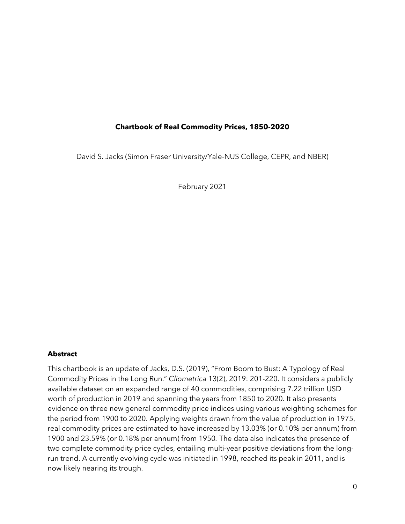# **Chartbook of Real Commodity Prices, 1850-2020**

David S. Jacks (Simon Fraser University/Yale-NUS College, CEPR, and NBER)

February 2021

### **Abstract**

This chartbook is an update of Jacks, D.S. (2019), "From Boom to Bust: A Typology of Real Commodity Prices in the Long Run." *Cliometrica* 13(2), 2019: 201-220. It considers a publicly available dataset on an expanded range of 40 commodities, comprising 7.22 trillion USD worth of production in 2019 and spanning the years from 1850 to 2020. It also presents evidence on three new general commodity price indices using various weighting schemes for the period from 1900 to 2020. Applying weights drawn from the value of production in 1975, real commodity prices are estimated to have increased by 13.03% (or 0.10% per annum) from 1900 and 23.59% (or 0.18% per annum) from 1950*.* The data also indicates the presence of two complete commodity price cycles, entailing multi-year positive deviations from the longrun trend. A currently evolving cycle was initiated in 1998, reached its peak in 2011, and is now likely nearing its trough.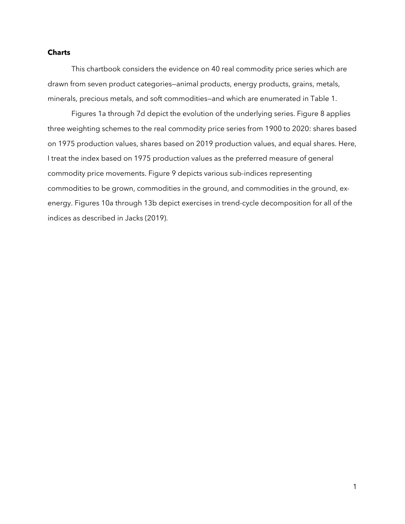### **Charts**

This chartbook considers the evidence on 40 real commodity price series which are drawn from seven product categories—animal products, energy products, grains, metals, minerals, precious metals, and soft commodities—and which are enumerated in Table 1.

Figures 1a through 7d depict the evolution of the underlying series. Figure 8 applies three weighting schemes to the real commodity price series from 1900 to 2020: shares based on 1975 production values, shares based on 2019 production values, and equal shares. Here, I treat the index based on 1975 production values as the preferred measure of general commodity price movements. Figure 9 depicts various sub-indices representing commodities to be grown, commodities in the ground, and commodities in the ground, exenergy. Figures 10a through 13b depict exercises in trend-cycle decomposition for all of the indices as described in Jacks (2019).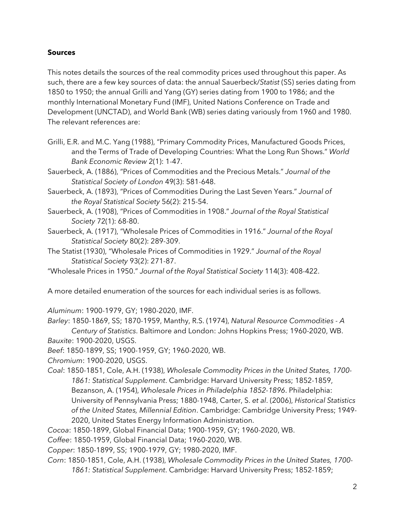# **Sources**

This notes details the sources of the real commodity prices used throughout this paper. As such, there are a few key sources of data: the annual Sauerbeck/*Statist* (SS) series dating from 1850 to 1950; the annual Grilli and Yang (GY) series dating from 1900 to 1986; and the monthly International Monetary Fund (IMF), United Nations Conference on Trade and Development (UNCTAD), and World Bank (WB) series dating variously from 1960 and 1980. The relevant references are:

Grilli, E.R. and M.C. Yang (1988), "Primary Commodity Prices, Manufactured Goods Prices, and the Terms of Trade of Developing Countries: What the Long Run Shows." *World Bank Economic Review* 2(1): 1-47.

Sauerbeck, A. (1886), "Prices of Commodities and the Precious Metals." *Journal of the Statistical Society of London* 49(3): 581-648.

Sauerbeck, A. (1893), "Prices of Commodities During the Last Seven Years." *Journal of the Royal Statistical Society* 56(2): 215-54.

Sauerbeck, A. (1908), "Prices of Commodities in 1908." *Journal of the Royal Statistical Society* 72(1): 68-80.

Sauerbeck, A. (1917), "Wholesale Prices of Commodities in 1916." *Journal of the Royal Statistical Society* 80(2): 289-309.

The Statist (1930), "Wholesale Prices of Commodities in 1929." *Journal of the Royal Statistical Society* 93(2): 271-87.

"Wholesale Prices in 1950." *Journal of the Royal Statistical Society* 114(3): 408-422.

A more detailed enumeration of the sources for each individual series is as follows.

*Aluminum*: 1900-1979, GY; 1980-2020, IMF.

*Barley*: 1850-1869, SS; 1870-1959, Manthy, R.S. (1974), *Natural Resource Commodities - A Century of Statistics*. Baltimore and London: Johns Hopkins Press; 1960-2020, WB. *Bauxite*: 1900-2020, USGS.

*Beef*: 1850-1899, SS; 1900-1959, GY; 1960-2020, WB.

*Chromium*: 1900-2020, USGS.

*Coal*: 1850-1851, Cole, A.H. (1938), *Wholesale Commodity Prices in the United States, 1700- 1861: Statistical Supplement*. Cambridge: Harvard University Press; 1852-1859, Bezanson, A. (1954), *Wholesale Prices in Philadelphia 1852-1896*. Philadelphia: University of Pennsylvania Press; 1880-1948, Carter, S. *et al*. (2006), *Historical Statistics of the United States, Millennial Edition*. Cambridge: Cambridge University Press; 1949- 2020, United States Energy Information Administration.

*Cocoa*: 1850-1899, Global Financial Data; 1900-1959, GY; 1960-2020, WB.

*Coffee*: 1850-1959, Global Financial Data; 1960-2020, WB.

*Copper*: 1850-1899, SS; 1900-1979, GY; 1980-2020, IMF.

*Corn*: 1850-1851, Cole, A.H. (1938), *Wholesale Commodity Prices in the United States, 1700- 1861: Statistical Supplement*. Cambridge: Harvard University Press; 1852-1859;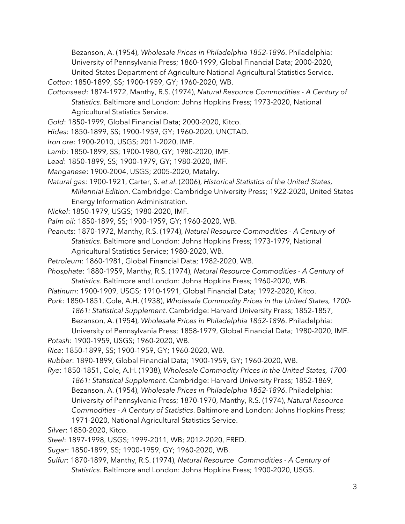Bezanson, A. (1954), *Wholesale Prices in Philadelphia 1852-1896*. Philadelphia: University of Pennsylvania Press; 1860-1999, Global Financial Data; 2000-2020, United States Department of Agriculture National Agricultural Statistics Service.

*Cotton*: 1850-1899, SS; 1900-1959, GY; 1960-2020, WB.

- *Cottonseed*: 1874-1972, Manthy, R.S. (1974), *Natural Resource Commodities - A Century of Statistics*. Baltimore and London: Johns Hopkins Press; 1973-2020, National Agricultural Statistics Service.
- *Gold*: 1850-1999, Global Financial Data; 2000-2020, Kitco.
- *Hides*: 1850-1899, SS; 1900-1959, GY; 1960-2020, UNCTAD.
- *Iron ore*: 1900-2010, USGS; 2011-2020, IMF.
- *Lamb*: 1850-1899, SS; 1900-1980, GY; 1980-2020, IMF.
- *Lead*: 1850-1899, SS; 1900-1979, GY; 1980-2020, IMF.
- *Manganese*: 1900-2004, USGS; 2005-2020, Metalry.
- *Natural gas*: 1900-1921, Carter, S. *et al*. (2006), *Historical Statistics of the United States, Millennial Edition*. Cambridge: Cambridge University Press; 1922-2020, United States Energy Information Administration.
- *Nickel*: 1850-1979, USGS; 1980-2020, IMF.
- *Palm oil*: 1850-1899, SS; 1900-1959, GY; 1960-2020, WB.
- *Peanuts*: 1870-1972, Manthy, R.S. (1974), *Natural Resource Commodities - A Century of Statistics*. Baltimore and London: Johns Hopkins Press; 1973-1979, National Agricultural Statistics Service; 1980-2020, WB.
- *Petroleum*: 1860-1981, Global Financial Data; 1982-2020, WB.
- *Phosphate*: 1880-1959, Manthy, R.S. (1974), *Natural Resource Commodities - A Century of Statistics*. Baltimore and London: Johns Hopkins Press; 1960-2020, WB.
- *Platinum*: 1900-1909, USGS; 1910-1991, Global Financial Data; 1992-2020, Kitco.
- *Pork*: 1850-1851, Cole, A.H. (1938), *Wholesale Commodity Prices in the United States, 1700- 1861: Statistical Supplement*. Cambridge: Harvard University Press; 1852-1857,
	- Bezanson, A. (1954), *Wholesale Prices in Philadelphia 1852-1896*. Philadelphia:
	- University of Pennsylvania Press; 1858-1979, Global Financial Data; 1980-2020, IMF.
- *Potash*: 1900-1959, USGS; 1960-2020, WB.
- *Rice*: 1850-1899, SS; 1900-1959, GY; 1960-2020, WB.
- *Rubber*: 1890-1899, Global Financial Data; 1900-1959, GY; 1960-2020, WB.

*Rye*: 1850-1851, Cole, A.H. (1938), *Wholesale Commodity Prices in the United States, 1700- 1861: Statistical Supplement*. Cambridge: Harvard University Press; 1852-1869, Bezanson, A. (1954), *Wholesale Prices in Philadelphia 1852-1896*. Philadelphia: University of Pennsylvania Press; 1870-1970, Manthy, R.S. (1974), *Natural Resource Commodities - A Century of Statistics*. Baltimore and London: Johns Hopkins Press; 1971-2020, National Agricultural Statistics Service.

- *Silver*: 1850-2020, Kitco.
- *Steel*: 1897-1998, USGS; 1999-2011, WB; 2012-2020, FRED.
- *Sugar*: 1850-1899, SS; 1900-1959, GY; 1960-2020, WB.
- *Sulfur*: 1870-1899, Manthy, R.S. (1974), *Natural Resource Commodities - A Century of Statistics*. Baltimore and London: Johns Hopkins Press; 1900-2020, USGS.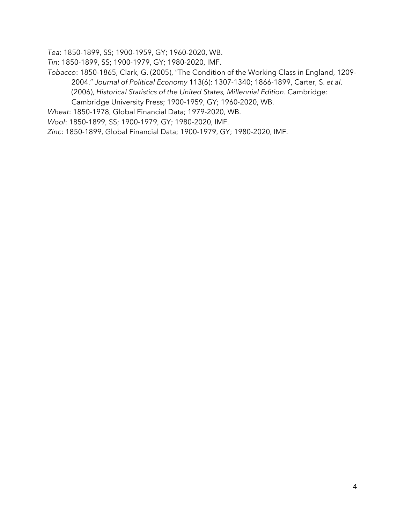*Tea*: 1850-1899, SS; 1900-1959, GY; 1960-2020, WB.

*Tin*: 1850-1899, SS; 1900-1979, GY; 1980-2020, IMF.

*Tobacco*: 1850-1865, Clark, G. (2005), "The Condition of the Working Class in England, 1209- 2004." *Journal of Political Economy* 113(6): 1307-1340; 1866-1899, Carter, S. *et al*. (2006), *Historical Statistics of the United States, Millennial Edition*. Cambridge: Cambridge University Press; 1900-1959, GY; 1960-2020, WB.

*Wheat*: 1850-1978, Global Financial Data; 1979-2020, WB.

*Wool*: 1850-1899, SS; 1900-1979, GY; 1980-2020, IMF.

*Zinc*: 1850-1899, Global Financial Data; 1900-1979, GY; 1980-2020, IMF.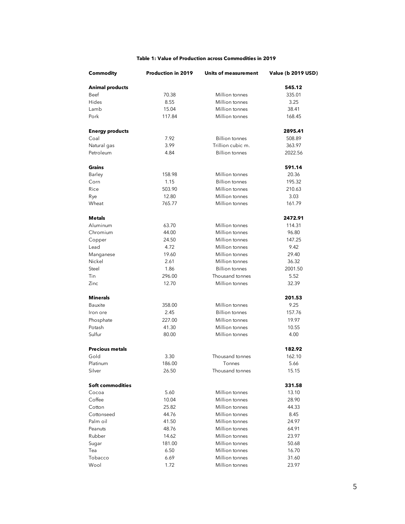#### **Table 1: Value of Production across Commodities in 2019**

| Commodity               | <b>Production in 2019</b> | Units of measurement  | <b>Value (b 2019 USD)</b> |
|-------------------------|---------------------------|-----------------------|---------------------------|
| <b>Animal products</b>  |                           |                       | 545.12                    |
| Beef                    | 70.38                     | Million tonnes        | 335.01                    |
| Hides                   | 8.55                      | Million tonnes        | 3.25                      |
| Lamb                    | 15.04                     | Million tonnes        | 38.41                     |
| Pork                    | 117.84                    | Million tonnes        | 168.45                    |
| <b>Energy products</b>  |                           |                       | 2895.41                   |
| Coal                    | 7.92                      | <b>Billion tonnes</b> | 508.89                    |
| Natural gas             | 3.99                      | Trillion cubic m.     | 363.97                    |
| Petroleum               | 4.84                      | <b>Billion</b> tonnes | 2022.56                   |
| Grains                  |                           |                       | 591.14                    |
| Barley                  | 158.98                    | Million tonnes        | 20.36                     |
| Corn                    | 1.15                      | <b>Billion</b> tonnes | 195.32                    |
| Rice                    | 503.90                    | Million tonnes        | 210.63                    |
| Rye                     | 12.80                     | Million tonnes        | 3.03                      |
| Wheat                   | 765.77                    | Million tonnes        | 161.79                    |
| Metals                  |                           |                       | 2472.91                   |
| Aluminum                | 63.70                     | Million tonnes        | 114.31                    |
| Chromium                | 44.00                     | Million tonnes        | 96.80                     |
| Copper                  | 24.50                     | Million tonnes        | 147.25                    |
| Lead                    | 4.72                      | Million tonnes        | 9.42                      |
| Manganese               | 19.60                     | Million tonnes        | 29.40                     |
| Nickel                  | 2.61                      | Million tonnes        | 36.32                     |
| Steel                   | 1.86                      | <b>Billion</b> tonnes | 2001.50                   |
| Tin                     | 296.00                    | Thousand tonnes       | 5.52                      |
| Zinc                    | 12.70                     | Million tonnes        | 32.39                     |
| Minerals                |                           |                       | 201.53                    |
| Bauxite                 | 358.00                    | Million tonnes        | 9.25                      |
| Iron ore                | 2.45                      | <b>Billion</b> tonnes | 157.76                    |
| Phosphate               | 227.00                    | Million tonnes        | 19.97                     |
| Potash                  | 41.30                     | Million tonnes        | 10.55                     |
| Sulfur                  | 80.00                     | Million tonnes        | 4.00                      |
| <b>Precious metals</b>  |                           |                       | 182.92                    |
| Gold                    | 3.30                      | Thousand tonnes       | 162.10                    |
| Platinum                | 186.00                    | Tonnes                | 5.66                      |
| Silver                  | 26.50                     | Thousand tonnes       | 15.15                     |
| <b>Soft commodities</b> |                           |                       | 331.58                    |
| Cocoa                   | 5.60                      | Million tonnes        | 13.10                     |
| Coffee                  | 10.04                     | Million tonnes        | 28.90                     |
| Cotton                  | 25.82                     | Million tonnes        | 44.33                     |
| Cottonseed              | 44.76                     | Million tonnes        | 8.45                      |
| Palm oil                | 41.50                     | Million tonnes        | 24.97                     |
| Peanuts                 | 48.76                     | Million tonnes        | 64.91                     |
| Rubber                  | 14.62                     | Million tonnes        | 23.97                     |
| Sugar                   | 181.00                    | Million tonnes        | 50.68                     |
| Tea                     | 6.50                      | Million tonnes        | 16.70                     |
| Tobacco                 | 6.69                      | Million tonnes        | 31.60                     |
| Wool                    | 1.72                      | Million tonnes        | 23.97                     |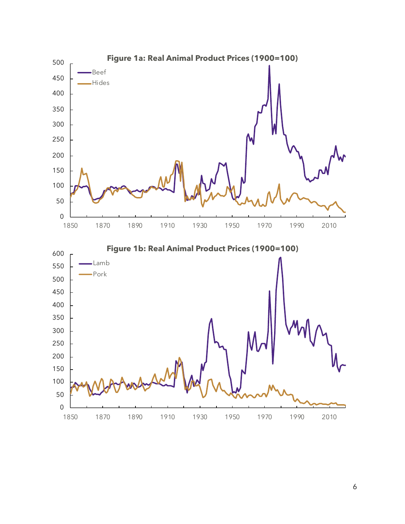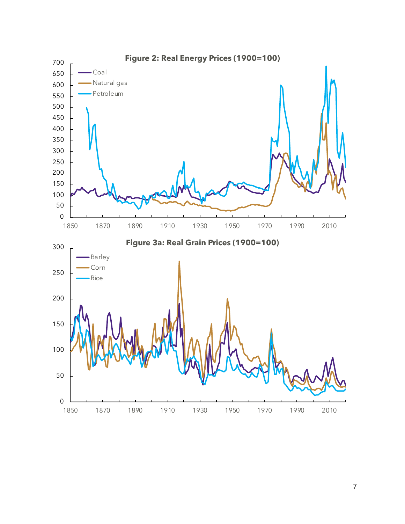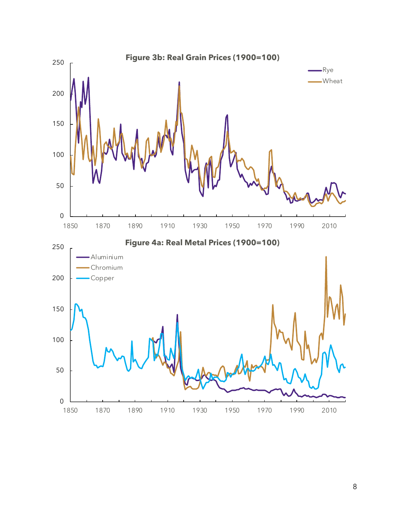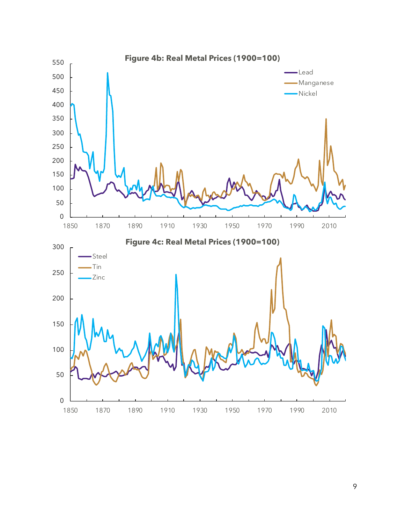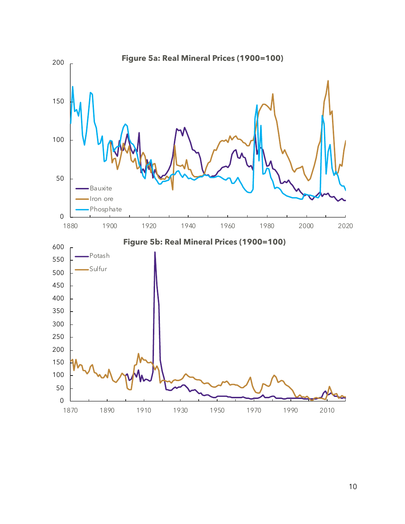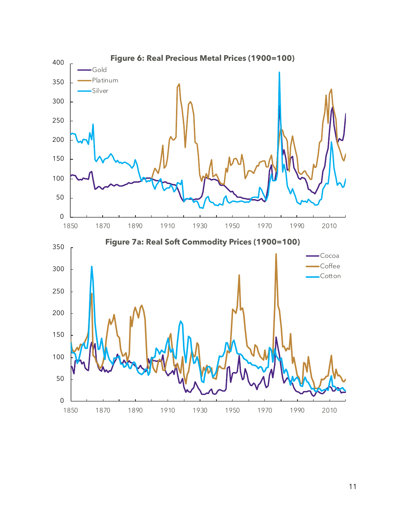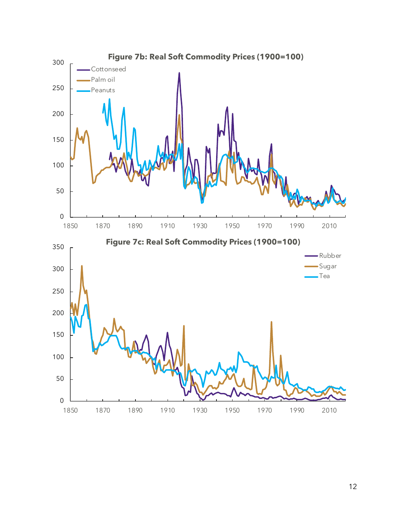![](_page_12_Figure_0.jpeg)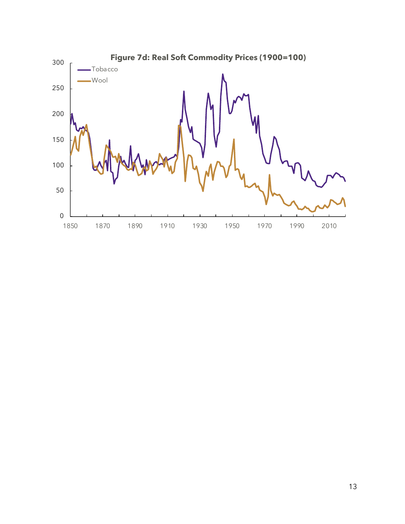![](_page_13_Figure_0.jpeg)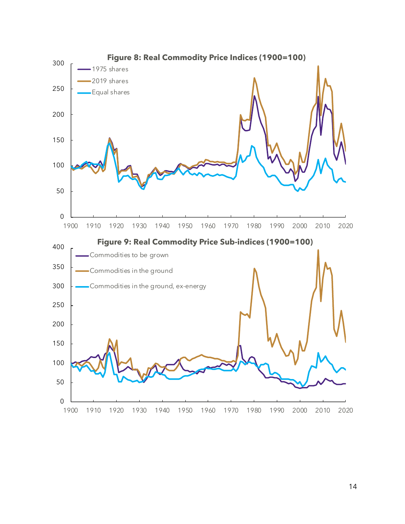![](_page_14_Figure_0.jpeg)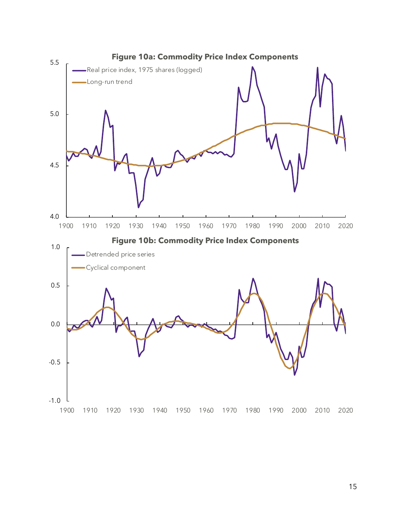![](_page_15_Figure_0.jpeg)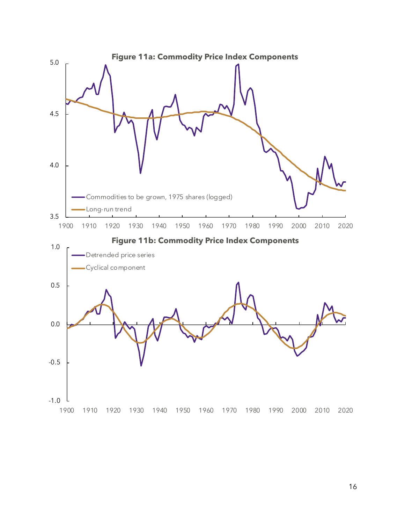![](_page_16_Figure_0.jpeg)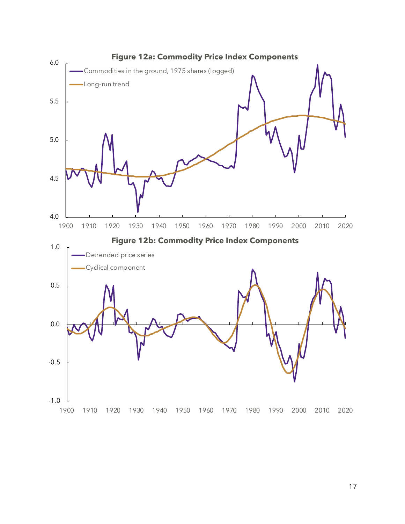![](_page_17_Figure_0.jpeg)